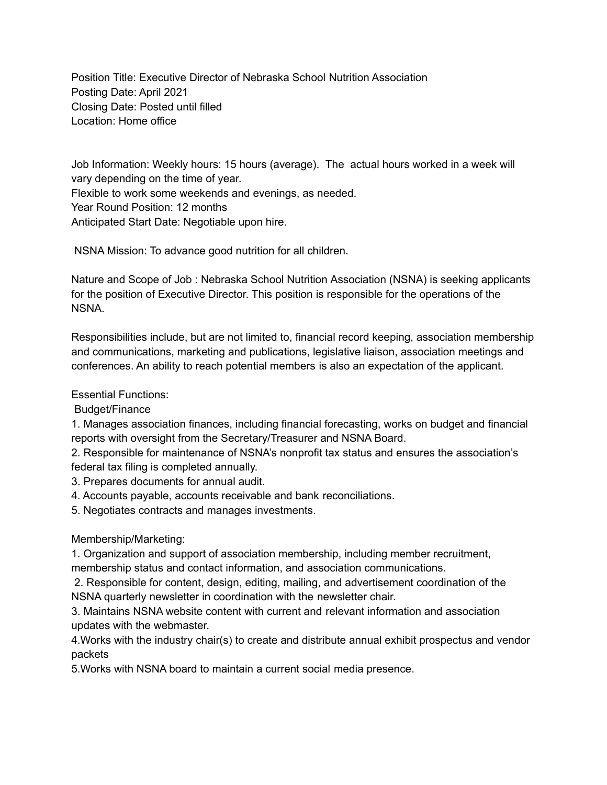Position Title: Executive Director of Nebraska School Nutrition Association Posting Date: April 2021 Closing Date: Posted until filled Location: Home office

Job Information: Weekly hours: 15 hours (average). The actual hours worked in a week will vary depending on the time of year. Flexible to work some weekends and evenings, as needed. Year Round Position: 12 months Anticipated Start Date: Negotiable upon hire.

NSNA Mission: To advance good nutrition for all children.

Nature and Scope of Job : Nebraska School Nutrition Association (NSNA) is seeking applicants for the position of Executive Director. This position is responsible for the operations of the NSNA.

Responsibilities include, but are not limited to, financial record keeping, association membership and communications, marketing and publications, legislative liaison, association meetings and conferences. An ability to reach potential members is also an expectation of the applicant.

Essential Functions:

Budget/Finance

1. Manages association finances, including financial forecasting, works on budget and financial reports with oversight from the Secretary/Treasurer and NSNA Board.

2. Responsible for maintenance of NSNA's nonprofit tax status and ensures the association's federal tax filing is completed annually.

3. Prepares documents for annual audit.

4. Accounts payable, accounts receivable and bank reconciliations.

5. Negotiates contracts and manages investments.

Membership/Marketing:

1. Organization and support of association membership, including member recruitment, membership status and contact information, and association communications.

2. Responsible for content, design, editing, mailing, and advertisement coordination of the NSNA quarterly newsletter in coordination with the newsletter chair.

3. Maintains NSNA website content with current and relevant information and association updates with the webmaster.

4.Works with the industry chair(s) to create and distribute annual exhibit prospectus and vendor packets

5.Works with NSNA board to maintain a current social media presence.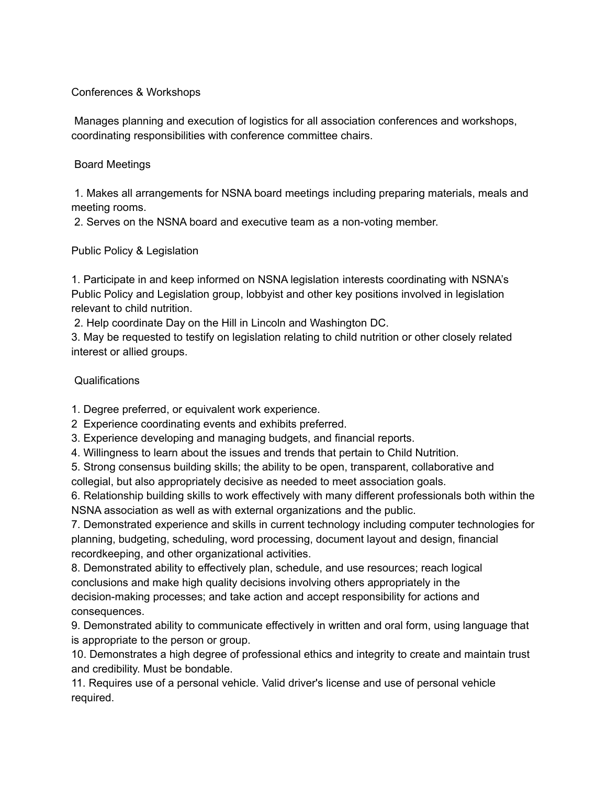## Conferences & Workshops

Manages planning and execution of logistics for all association conferences and workshops, coordinating responsibilities with conference committee chairs.

## Board Meetings

1. Makes all arrangements for NSNA board meetings including preparing materials, meals and meeting rooms.

2. Serves on the NSNA board and executive team as a non-voting member.

Public Policy & Legislation

1. Participate in and keep informed on NSNA legislation interests coordinating with NSNA's Public Policy and Legislation group, lobbyist and other key positions involved in legislation relevant to child nutrition.

2. Help coordinate Day on the Hill in Lincoln and Washington DC.

3. May be requested to testify on legislation relating to child nutrition or other closely related interest or allied groups.

## Qualifications

1. Degree preferred, or equivalent work experience.

2 Experience coordinating events and exhibits preferred.

- 3. Experience developing and managing budgets, and financial reports.
- 4. Willingness to learn about the issues and trends that pertain to Child Nutrition.
- 5. Strong consensus building skills; the ability to be open, transparent, collaborative and

collegial, but also appropriately decisive as needed to meet association goals.

6. Relationship building skills to work effectively with many different professionals both within the NSNA association as well as with external organizations and the public.

7. Demonstrated experience and skills in current technology including computer technologies for planning, budgeting, scheduling, word processing, document layout and design, financial recordkeeping, and other organizational activities.

8. Demonstrated ability to effectively plan, schedule, and use resources; reach logical conclusions and make high quality decisions involving others appropriately in the decision-making processes; and take action and accept responsibility for actions and consequences.

9. Demonstrated ability to communicate effectively in written and oral form, using language that is appropriate to the person or group.

10. Demonstrates a high degree of professional ethics and integrity to create and maintain trust and credibility. Must be bondable.

11. Requires use of a personal vehicle. Valid driver's license and use of personal vehicle required.